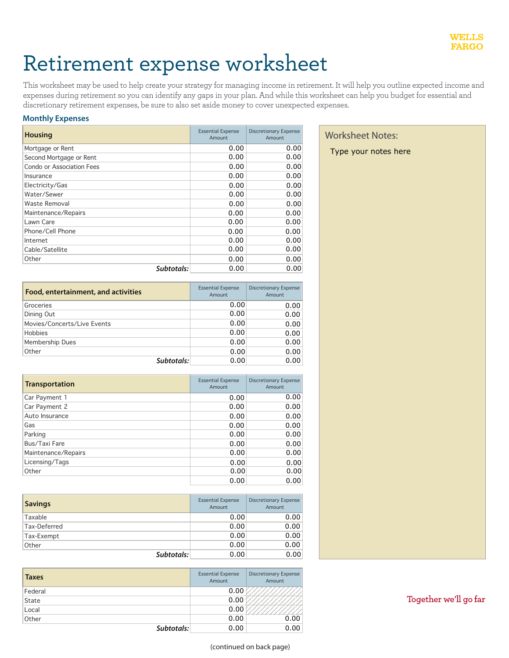# Retirement expense worksheet

This worksheet may be used to help create your strategy for managing income in retirement. It will help you outline expected income and expenses during retirement so you can identify any gaps in your plan. And while this worksheet can help you budget for essential and discretionary retirement expenses, be sure to also set aside money to cover unexpected expenses.

## **Monthly Expenses**

| <b>Housing</b>            | <b>Essential Expense</b><br>Amount | <b>Discretionary Expense</b><br>Amount | <b>Worksheet Notes:</b> |
|---------------------------|------------------------------------|----------------------------------------|-------------------------|
| Mortgage or Rent          | 0.00                               | 0.00                                   | Type your notes here    |
| Second Mortgage or Rent   | 0.00                               | 0.00                                   |                         |
| Condo or Association Fees | 0.00                               | 0.00                                   |                         |
| Insurance                 | 0.00                               | 0.00                                   |                         |
| Electricity/Gas           | 0.00                               | 0.00                                   |                         |
| Water/Sewer               | 0.00                               | 0.00                                   |                         |
| Waste Removal             | 0.00                               | 0.00                                   |                         |
| Maintenance/Repairs       | 0.00                               | 0.00                                   |                         |
| Lawn Care                 | 0.00                               | 0.00                                   |                         |
| Phone/Cell Phone          | 0.00                               | 0.00                                   |                         |
| Internet                  | 0.00                               | 0.00                                   |                         |
| Cable/Satellite           | 0.00                               | 0.00                                   |                         |
| Other                     | 0.00                               | 0.00                                   |                         |
| Subtotals:                | 0.00                               | 0.00                                   |                         |

| Food, entertainment, and activities | <b>Essential Expense</b><br>Amount | Discretionary Expense<br>Amount |  |
|-------------------------------------|------------------------------------|---------------------------------|--|
| Groceries                           | 0.00                               | 0.00                            |  |
| Dining Out                          | 0.00                               | 0.00                            |  |
| Movies/Concerts/Live Events         | 0.00                               | 0.00                            |  |
| Hobbies                             | 0.00                               | 0.00                            |  |
| Membership Dues                     | 0.00                               | 0.00                            |  |
| Other                               | 0.00                               | 0.00                            |  |
| Subtotals:                          | 0.00                               | 0.00                            |  |

| <b>Transportation</b> | <b>Essential Expense</b><br>Amount | <b>Discretionary Expense</b><br>Amount |
|-----------------------|------------------------------------|----------------------------------------|
| Car Payment 1         | 0.00                               | 0.00                                   |
| Car Payment 2         | 0.00                               | 0.00                                   |
| Auto Insurance        | 0.00                               | 0.00                                   |
| Gas                   | 0.00                               | 0.00                                   |
| Parking               | 0.00                               | 0.00                                   |
| Bus/Taxi Fare         | 0.00                               | 0.00                                   |
| Maintenance/Repairs   | 0.00                               | 0.00                                   |
| Licensing/Tags        | 0.00                               | 0.00                                   |
| Other                 | 0.00                               | 0.00                                   |
|                       | 0.00                               | 0.00                                   |

| <b>Savings</b> | <b>Essential Expense</b><br>Amount | <b>Discretionary Expense</b><br>Amount |  |
|----------------|------------------------------------|----------------------------------------|--|
| Taxable        | 0.00                               | 0.00                                   |  |
| Tax-Deferred   | 0.00                               | 0.00                                   |  |
| Tax-Exempt     | 0.00                               | 0.00                                   |  |
| Other          | 0.00                               | 0.00                                   |  |
| Subtotals:     | 0.00                               | 0.00                                   |  |

| <b>Taxes</b> | <b>Essential Expense</b><br>Amount | <b>Discretionary Expense</b><br>Amount |
|--------------|------------------------------------|----------------------------------------|
| Federal      | 0.00                               |                                        |
| State        | 0.00                               |                                        |
| Local        | 0.00                               |                                        |
| Other        | 0.00                               | 0.00                                   |
| Subtotals:   | 0.00                               | 0.00                                   |

# Worksheet Notes:

**Together** we'll go far

*Subtotals:*

*Subtotals:*

*Subtotals:*

*Subtotals:*

(continued on back page)